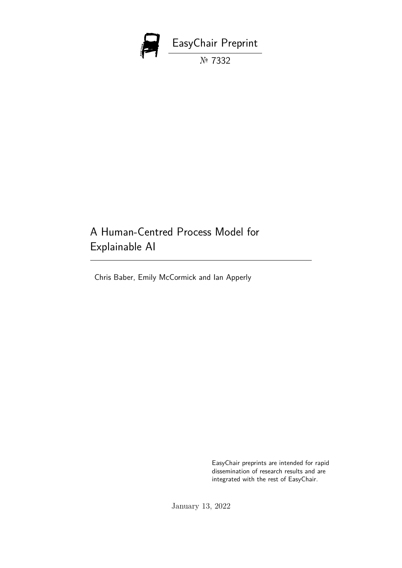

# A Human-Centred Process Model for Explainable AI

Chris Baber, Emily McCormick and Ian Apperly

EasyChair preprints are intended for rapid dissemination of research results and are integrated with the rest of EasyChair.

January 13, 2022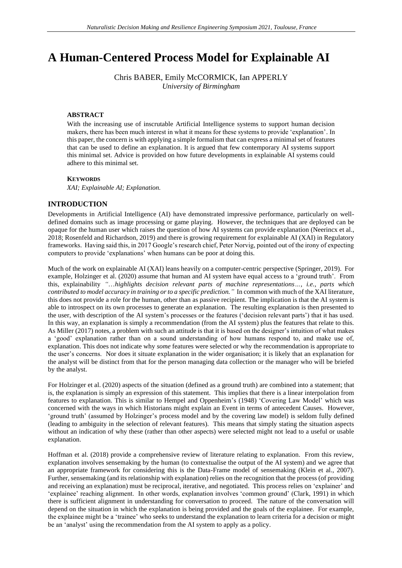## **A Human-Centered Process Model for Explainable AI**

Chris BABER, Emily McCORMICK, Ian APPERLY *University of Birmingham*

#### **ABSTRACT**

With the increasing use of inscrutable Artificial Intelligence systems to support human decision makers, there has been much interest in what it means for these systems to provide 'explanation'. In this paper, the concern is with applying a simple formalism that can express a minimal set of features that can be used to define an explanation. It is argued that few contemporary AI systems support this minimal set. Advice is provided on how future developments in explainable AI systems could adhere to this minimal set.

#### **KEYWORDS**

*XAI; Explainable AI; Explanation.*

#### **INTRODUCTION**

Developments in Artificial Intelligence (AI) have demonstrated impressive performance, particularly on welldefined domains such as image processing or game playing. However, the techniques that are deployed can be opaque for the human user which raises the question of how AI systems can provide explanation (Neerincx et al., 2018; Rosenfeld and Richardson, 2019) and there is growing requirement for explainable AI (XAI) in Regulatory frameworks. Having said this, in 2017 Google's research chief, Peter Norvig, pointed out of the irony of expecting computers to provide 'explanations' when humans can be poor at doing this.

Much of the work on explainable AI (XAI) leans heavily on a computer-centric perspective (Springer, 2019). For example, Holzinger et al. (2020) assume that human and AI system have equal access to a 'ground truth'. From this, explainability *"*…*highlights decision relevant parts of machine representations…, i.e., parts which contributed to model accuracy in training or to a specific prediction."* In common with much of the XAI literature, this does not provide a role for the human, other than as passive recipient. The implication is that the AI system is able to introspect on its own processes to generate an explanation. The resulting explanation is then presented to the user, with description of the AI system's processes or the features ('decision relevant parts') that it has used. In this way, an explanation is simply a recommendation (from the AI system) plus the features that relate to this. As Miller (2017) notes, a problem with such an attitude is that it is based on the designer's intuition of what makes a 'good' explanation rather than on a sound understanding of how humans respond to, and make use of, explanation. This does not indicate why *some* features were selected or why the recommendation is appropriate to the user's concerns. Nor does it situate explanation in the wider organisation; it is likely that an explanation for the analyst will be distinct from that for the person managing data collection or the manager who will be briefed by the analyst.

For Holzinger et al. (2020) aspects of the situation (defined as a ground truth) are combined into a statement; that is, the explanation is simply an expression of this statement. This implies that there is a linear interpolation from features to explanation. This is similar to Hempel and Oppenheim's (1948) 'Covering Law Model' which was concerned with the ways in which Historians might explain an Event in terms of antecedent Causes. However, 'ground truth' (assumed by Holzinger's process model and by the covering law model) is seldom fully defined (leading to ambiguity in the selection of relevant features). This means that simply stating the situation aspects without an indication of why these (rather than other aspects) were selected might not lead to a useful or usable explanation.

Hoffman et al. (2018) provide a comprehensive review of literature relating to explanation. From this review, explanation involves sensemaking by the human (to contextualise the output of the AI system) and we agree that an appropriate framework for considering this is the Data-Frame model of sensemaking (Klein et al., 2007). Further, sensemaking (and its relationship with explanation) relies on the recognition that the process (of providing and receiving an explanation) must be reciprocal, iterative, and negotiated. This process relies on 'explainer' and 'explainee' reaching alignment. In other words, explanation involves 'common ground' (Clark, 1991) in which there is sufficient alignment in understanding for conversation to proceed. The nature of the conversation will depend on the situation in which the explanation is being provided and the goals of the explainee. For example, the explainee might be a 'trainee' who seeks to understand the explanation to learn criteria for a decision or might be an 'analyst' using the recommendation from the AI system to apply as a policy.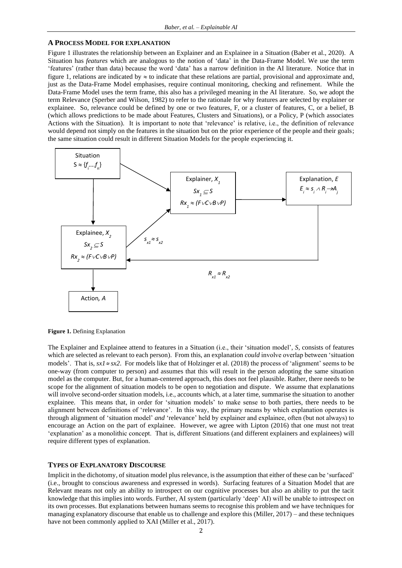#### **A PROCESS MODEL FOR EXPLANATION**

Figure 1 illustrates the relationship between an Explainer and an Explainee in a Situation (Baber et al., 2020). A Situation has *features* which are analogous to the notion of 'data' in the Data-Frame Model. We use the term 'features' (rather than data) because the word 'data' has a narrow definition in the AI literature. Notice that in figure 1, relations are indicated by  $\approx$  to indicate that these relations are partial, provisional and approximate and, just as the Data-Frame Model emphasises, require continual monitoring, checking and refinement. While the Data-Frame Model uses the term frame, this also has a privileged meaning in the AI literature. So, we adopt the term Relevance (Sperber and Wilson, 1982) to refer to the rationale for why features are selected by explainer or explainee. So, relevance could be defined by one or two features, F, or a cluster of features, C, or a belief, B (which allows predictions to be made about Features, Clusters and Situations), or a Policy, P (which associates Actions with the Situation). It is important to note that 'relevance' is relative, i.e., the definition of relevance would depend not simply on the features in the situation but on the prior experience of the people and their goals; the same situation could result in different Situation Models for the people experiencing it.



**Figure 1.** Defining Explanation

The Explainer and Explainee attend to features in a Situation (i.e., their 'situation model', *S*, consists of features which are selected as relevant to each person). From this, an explanation *could* involve overlap between 'situation models'. That is,  $sx1 \approx sx2$ . For models like that of Holzinger et al. (2018) the process of 'alignment' seems to be one-way (from computer to person) and assumes that this will result in the person adopting the same situation model as the computer. But, for a human-centered approach, this does not feel plausible. Rather, there needs to be scope for the alignment of situation models to be open to negotiation and dispute. We assume that explanations will involve second-order situation models, i.e., accounts which, at a later time, summarise the situation to another explainee. This means that, in order for 'situation models' to make sense to both parties, there needs to be alignment between definitions of 'relevance'. In this way, the primary means by which explanation operates is through alignment of 'situation model' *and* 'relevance' held by explainer and explainee, often (but not always) to encourage an Action on the part of explainee. However, we agree with Lipton (2016) that one must not treat 'explanation' as a monolithic concept. That is, different Situations (and different explainers and explainees) will require different types of explanation.

#### **TYPES OF EXPLANATORY DISCOURSE**

Implicit in the dichotomy, of situation model plus relevance, is the assumption that either of these can be 'surfaced' (i.e., brought to conscious awareness and expressed in words). Surfacing features of a Situation Model that are Relevant means not only an ability to introspect on our cognitive processes but also an ability to put the tacit knowledge that this implies into words. Further, AI system (particularly 'deep' AI) will be unable to introspect on its own processes. But explanations between humans seems to recognise this problem and we have techniques for managing explanatory discourse that enable us to challenge and explore this (Miller, 2017) – and these techniques have not been commonly applied to XAI (Miller et al., 2017).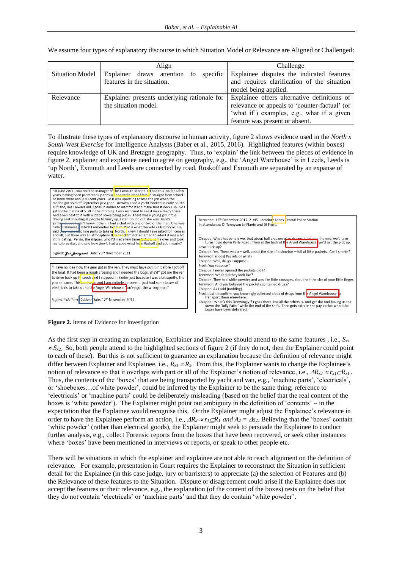We assume four types of explanatory discourse in which Situation Model or Relevance are Aligned or Challenged:

|                        | Align                                                                  | Challenge                                                                                                                                                                    |  |  |  |
|------------------------|------------------------------------------------------------------------|------------------------------------------------------------------------------------------------------------------------------------------------------------------------------|--|--|--|
| <b>Situation Model</b> | specific<br>Explainer draws attention to<br>features in the situation. | Explainee disputes the indicated features<br>and requires clarification of the situation<br>model being applied.                                                             |  |  |  |
| Relevance              | Explainer presents underlying rationale for<br>the situation model.    | Explainee offers alternative definitions of<br>relevance or appeals to 'counter-factual' (or<br>'what if') examples, e.g., what if a given<br>feature was present or absent. |  |  |  |

To illustrate these types of explanatory discourse in human activity, figure 2 shows evidence used in the *North x South-West Exercise* for Intelligence Analysts (Baber et al., 2015, 2016). Highlighted features (within boxes) require knowledge of UK and Bretagne geography. Thus, to 'explain' the link between the pieces of evidence in figure 2, explainer and explainee need to agree on geography, e.g., the 'Angel Warehouse' is in Leeds, Leeds is 'up North', Exmouth and Leeds are connected by road, Roskoff and Exmouth are separated by an expanse of water.



**Figure 2.** Items of Evidence for Investigation

As the first step in creating an explanation, Explainer and Explainee should attend to the same features , i.e., *Sx1*  $\approx S_{x2}$ . So, both people attend to the highlighted sections of figure 2 (if they do not, then the Explainer could point to each of these). But this is not sufficient to guarantee an explanation because the definition of relevance might differ between Explainer and Explainee, i.e.,  $R_{x1} \neq R_{x}$ . From this, the Explainer wants to change the Explainee's notion of relevance so that it overlaps with part or all of the Explainer's notion of relevance, i.e.,  $\Delta R_{x2} \approx r_{x1} \Delta R_{x1}$ . Thus, the contents of the 'boxes' that are being transported by yacht and van, e.g., 'machine parts', 'electricals', or 'shoeboxes…of white powder', could be inferred by the Explainer to be the same thing; reference to 'electricals' or 'machine parts' could be deliberately misleading (based on the belief that the real content of the boxes is 'white powder'). The Explainer might point out ambiguity in the definition of 'contents' – in the expectation that the Explainee would recognise this. Or the Explainer might adjust the Explainee's relevance in order to have the Explainee perform an action, i.e.,  $\Delta R_2 \approx r_I \Delta R_I$  and  $A_2 = \Delta s_2$ . Believing that the 'boxes' contain 'white powder' (rather than electrical goods), the Explainer might seek to persuade the Explainee to conduct further analysis, e.g., collect Forensic reports from the boxes that have been recovered, or seek other instances where 'boxes' have been mentioned in interviews or reports, or speak to other people etc.

There will be situations in which the explainer and explainee are not able to reach alignment on the definition of relevance. For example, presentation in Court requires the Explainer to reconstruct the Situation in sufficient detail for the Explainee (in this case judge, jury or barristers) to appreciate (a) the selection of Features and (b) the Relevance of these features to the Situation. Dispute or disagreement could arise if the Explainee does not accept the features or their relevance, e.g., the explanation (of the content of the boxes) rests on the belief that they do not contain 'electricals' or 'machine parts' and that they do contain 'white powder'.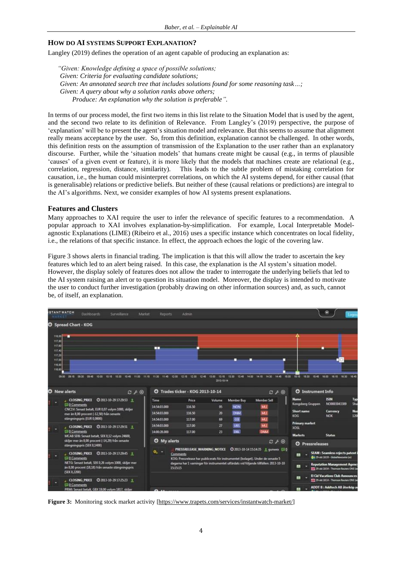### **HOW DO AI SYSTEMS SUPPORT EXPLANATION?**

Langley (2019) defines the operation of an agent capable of producing an explanation as:

*"Given: Knowledge defining a space of possible solutions; Given: Criteria for evaluating candidate solutions; Given: An annotated search tree that includes solutions found for some reasoning task…; Given: A query about why a solution ranks above others; Produce: An explanation why the solution is preferable".*

In terms of our process model, the first two items in this list relate to the Situation Model that is used by the agent, and the second two relate to its definition of Relevance. From Langley's (2019) perspective, the purpose of 'explanation' will be to present the agent's situation model and relevance. But this seems to assume that alignment really means acceptance by the user. So, from this definition, explanation cannot be challenged. In other words, this definition rests on the assumption of transmission of the Explanation to the user rather than an explanatory discourse. Further, while the 'situation models' that humans create might be causal (e.g., in terms of plausible 'causes' of a given event or feature), it is more likely that the models that machines create are relational (e.g., correlation, regression, distance, similarity). This leads to the subtle problem of mistaking correlation for causation, i.e., the human could misinterpret correlations, on which the AI systems depend, for either causal (that is generalisable) relations or predictive beliefs. But neither of these (causal relations or predictions) are integral to the AI's algorithms. Next, we consider examples of how AI systems present explanations.

#### **Features and Clusters**

Many approaches to XAI require the user to infer the relevance of specific features to a recommendation. A popular approach to XAI involves explanation-by-simplification. For example, Local Interpretable Modelagnostic Explanations (LIME) (Ribeiro et al., 2016) uses a specific instance which concentrates on local fidelity, i.e., the relations of that specific instance. In effect, the approach echoes the logic of the covering law.

Figure 3 shows alerts in financial trading. The implication is that this will allow the trader to ascertain the key features which led to an alert being raised. In this case, the explanation is the AI system's situation model. However, the display solely of features does not allow the trader to interrogate the underlying beliefs that led to the AI system raising an alert or to question its situation model. Moreover, the display is intended to motivate the user to conduct further investigation (probably drawing on other information sources) and, as such, cannot be, of itself, an explanation*.*



**Figure 3:** Monitoring stock market activity [\[https://www.trapets.com/services/instantwatch-market/\]](https://www.trapets.com/services/instantwatch-market/)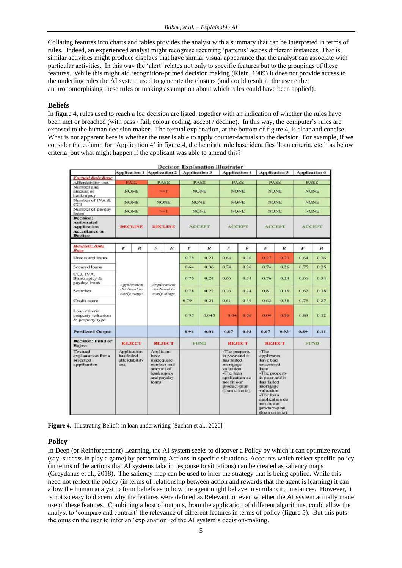Collating features into charts and tables provides the analyst with a summary that can be interpreted in terms of rules. Indeed, an experienced analyst might recognise recurring 'patterns' across different instances. That is, similar activities might produce displays that have similar visual appearance that the analyst can associate with particular activities. In this way the 'alert' relates not only to specific features but to the groupings of these features. While this might aid recognition-primed decision making (Klein, 1989) it does not provide access to the underling rules the AI system used to generate the clusters (and could result in the user either anthropomorphising these rules or making assumption about which rules could have been applied).

## **Beliefs**

In figure 4, rules used to reach a loa decision are listed, together with an indication of whether the rules have been met or breached (with pass / fail, colour coding, accept / decline). In this way, the computer's rules are exposed to the human decision maker. The textual explanation, at the bottom of figure 4, is clear and concise. What is not apparent here is whether the user is able to apply counter-factuals to the decision. For example, if we consider the column for 'Application 4' in figure 4, the heuristic rule base identifies 'loan criteria, etc.' as below criteria, but what might happen if the applicant was able to amend this?

| <b>Decision Explanation Illustrator</b>                                                |                                                    |                                           |                                                                                   |                      |               |                      |                                                                                                                                                           |                  |                                                                                                                                                                                                                       |                  |               |             |  |
|----------------------------------------------------------------------------------------|----------------------------------------------------|-------------------------------------------|-----------------------------------------------------------------------------------|----------------------|---------------|----------------------|-----------------------------------------------------------------------------------------------------------------------------------------------------------|------------------|-----------------------------------------------------------------------------------------------------------------------------------------------------------------------------------------------------------------------|------------------|---------------|-------------|--|
|                                                                                        |                                                    | Application 1 Application 2 Application 3 |                                                                                   | <b>Application 4</b> |               | <b>Application 5</b> | <b>Application 6</b>                                                                                                                                      |                  |                                                                                                                                                                                                                       |                  |               |             |  |
| <b>Factual Rule Base</b>                                                               |                                                    |                                           |                                                                                   |                      |               |                      |                                                                                                                                                           |                  |                                                                                                                                                                                                                       |                  |               |             |  |
| Affordability test                                                                     | <b>FAIL</b>                                        | <b>PASS</b>                               |                                                                                   | <b>PASS</b>          |               | <b>PASS</b>          |                                                                                                                                                           | <b>PASS</b>      |                                                                                                                                                                                                                       | <b>PASS</b>      |               |             |  |
| Number and<br>amount of<br>bankruptcy                                                  |                                                    | $\rightarrow$<br><b>NONE</b>              |                                                                                   | <b>NONE</b>          |               | <b>NONE</b>          |                                                                                                                                                           | <b>NONE</b>      |                                                                                                                                                                                                                       | <b>NONE</b>      |               |             |  |
| Number of IVA &<br>CCI                                                                 | <b>NONE</b>                                        |                                           |                                                                                   | <b>NONE</b>          |               | <b>NONE</b>          |                                                                                                                                                           | <b>NONE</b>      |                                                                                                                                                                                                                       | <b>NONE</b>      |               | <b>NONE</b> |  |
| Number of payday<br>loans                                                              | <b>NONE</b>                                        |                                           | $-1$                                                                              |                      | <b>NONE</b>   |                      | <b>NONE</b>                                                                                                                                               |                  | <b>NONE</b>                                                                                                                                                                                                           |                  | <b>NONE</b>   |             |  |
| <b>Decision:</b><br>Automated<br><b>Application</b><br>Acceptance or<br><b>Decline</b> | <b>DECLINE</b>                                     |                                           | <b>DECLINE</b>                                                                    |                      | <b>ACCEPT</b> |                      | <b>ACCEPT</b>                                                                                                                                             |                  | <b>ACCEPT</b>                                                                                                                                                                                                         |                  | <b>ACCEPT</b> |             |  |
| <b>Heuristic Rule</b><br>Base                                                          | F                                                  | R                                         | F                                                                                 | $\overline{R}$       | F             | $\boldsymbol{R}$     | F                                                                                                                                                         | $\boldsymbol{R}$ | F                                                                                                                                                                                                                     | $\boldsymbol{R}$ | F.            | R           |  |
| Unsecured loans                                                                        | Application<br>declined in<br>early stage          |                                           | Application<br>declined in<br>early stage                                         |                      | 0.79          | 0.21                 | 0.64                                                                                                                                                      | 0.36             | 0.27                                                                                                                                                                                                                  | 0.73             | 0.64          | 0.36        |  |
| Secured loans                                                                          |                                                    |                                           |                                                                                   |                      | 0.64          | 0.36                 | 0.74                                                                                                                                                      | 0.26             | 0.74                                                                                                                                                                                                                  | 0.26             | 0.75          | 0.25        |  |
| CCJ, IVA.<br>Bankniptcy &<br>payday loans                                              |                                                    |                                           |                                                                                   |                      | 0.76          | 0.24                 | 0.66                                                                                                                                                      | 0.34             | 0.76                                                                                                                                                                                                                  | 0.24             | 0.66          | 0.34        |  |
| <b>Searches</b>                                                                        |                                                    |                                           |                                                                                   |                      | 0.78          | 0.22                 | 0.76                                                                                                                                                      | 0.24             | 0.81                                                                                                                                                                                                                  | 0.19             | 0.62          | 0.38        |  |
| Credit score                                                                           |                                                    |                                           |                                                                                   |                      | 0.79          | 0.21                 | 0.61                                                                                                                                                      | 0.39             | 0.62                                                                                                                                                                                                                  | 0.38             | 0.73          | 0.27        |  |
| Loan criteria.<br>property valuation<br>& property type                                |                                                    |                                           |                                                                                   |                      | 0.95          | 0.045                | 0.04                                                                                                                                                      | 0.96             | 0.04                                                                                                                                                                                                                  | 0.96             | 0.88          | 0.12        |  |
| <b>Predicted Output</b>                                                                |                                                    |                                           |                                                                                   |                      | 0.96          | 0.04                 | 0.07                                                                                                                                                      | 0.93             | 0.07                                                                                                                                                                                                                  | 0.93             | 0.89          | 0.11        |  |
| <b>Decision: Fund or</b><br>Reject                                                     | <b>REJECT</b>                                      |                                           |                                                                                   | <b>REJECT</b>        | FUND          |                      | <b>REJECT</b>                                                                                                                                             |                  | <b>REJECT</b>                                                                                                                                                                                                         |                  | <b>FUND</b>   |             |  |
| Textual<br>explanation for a<br>rejected<br>application                                | Application<br>has failed<br>affordability<br>test |                                           | Applicant<br>have<br>inadequate<br>amount of<br>bankruptcy<br>and payday<br>loans | number and           |               |                      | -The property<br>is poor and it<br>has failed<br>mortgage<br>valuation.<br>-The loan<br>application do<br>not fit our<br>product-plan<br>(loan criteria). |                  | $-T$ he<br>applicants<br>have bad<br>unsecured<br>loain.<br>-The property<br>is poor and it<br>has failed<br>mortgage<br>valuation.<br>-The Ioan<br>application do<br>not fit our<br>product-plan<br>(loan criteria). |                  |               |             |  |

**Figure 4.** Illustrating Beliefs in loan underwriting [Sachan et al., 2020]

## **Policy**

In Deep (or Reinforcement) Learning, the AI system seeks to discover a Policy by which it can optimize reward (say, success in play a game) by performing Actions in specific situations. Accounts which reflect specific policy (in terms of the actions that AI systems take in response to situations) can be created as saliency maps (Greydanus et al., 2018). The saliency map can be used to infer the strategy that is being applied. While this need not reflect the policy (in terms of relationship between action and rewards that the agent is learning) it can allow the human analyst to form beliefs as to how the agent might behave in similar circumstances. However, it is not so easy to discern why the features were defined as Relevant, or even whether the AI system actually made use of these features. Combining a host of outputs, from the application of different algorithms, could allow the analyst to 'compare and contrast' the relevance of different features in terms of policy (figure 5). But this puts the onus on the user to infer an 'explanation' of the AI system's decision-making.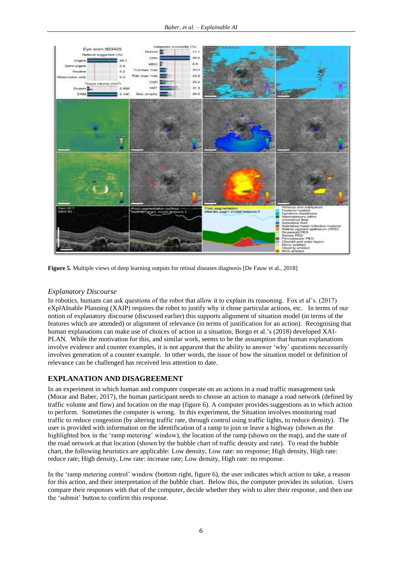

**Figure 5.** Multiple views of deep learning outputs for retinal diseases diagnosis [De Fauw et al., 2018]

## *Explanatory Discourse*

In robotics, humans can ask questions of the robot that allow it to explain its reasoning. Fox et al's. (2017) eXplAInable Planning (XAIP) requires the robot to justify why it chose particular actions, etc. In terms of our notion of explanatory discourse (discussed earlier) this supports alignment of situation model (in terms of the features which are attended) or alignment of relevance (in terms of justification for an action). Recognising that human explanations can make use of choices of action in a situation, Borgo et al.'s (2018) developed XAI-PLAN. While the motivation for this, and similar work, seems to be the assumption that human explanations involve evidence and counter examples, it is not apparent that the ability to answer 'why' questions necessarily involves generation of a counter example. In other words, the issue of how the situation model or definition of relevance can be challenged has received less attention to date.

## **EXPLANATION AND DISAGREEMENT**

In an experiment in which human and computer cooperate on an actions in a road traffic management task (Morar and Baber, 2017), the human participant needs to choose an action to manage a road network (defined by traffic volume and flow) and location on the map (figure 6). A computer provides suggestions as to which action to perform. Sometimes the computer is wrong. In this experiment, the Situation involves monitoring road traffic to reduce congestion (by altering traffic rate, through control using traffic lights, to reduce density). The user is provided with information on the identification of a ramp to join or leave a highway (shown as the highlighted box in the 'ramp metering' window), the location of the ramp (shown on the map), and the state of the road network at that location (shown by the bubble chart of traffic density and rate). To read the bubble chart, the following heuristics are applicable: Low density, Low rate: no response; High density, High rate: reduce rate; High density, Low rate: increase rate; Low density, High rate: no response.

In the 'ramp metering control' window (bottom right, figure 6), the user indicates which action to take, a reason for this action, and their interpretation of the bubble chart. Below this, the computer provides its solution. Users compare their responses with that of the computer, decide whether they wish to alter their response, and then use the 'submit' button to confirm this response.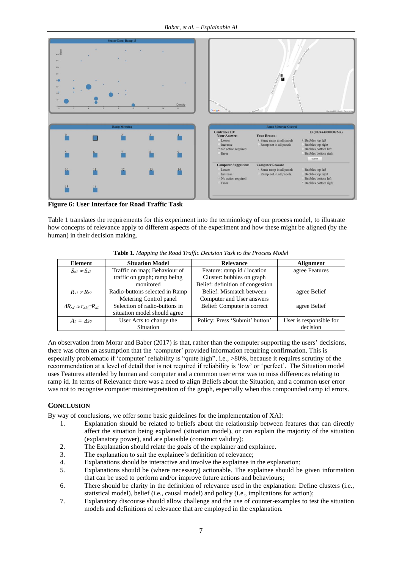

**Figure 6: User Interface for Road Traffic Task**

Table 1 translates the requirements for this experiment into the terminology of our process model, to illustrate how concepts of relevance apply to different aspects of the experiment and how these might be aligned (by the human) in their decision making.

| <b>Element</b>                        | <b>Situation Model</b>         | <b>Relevance</b>                 | Alignment               |
|---------------------------------------|--------------------------------|----------------------------------|-------------------------|
| $S_{x1} \approx S_{x2}$               | Traffic on map; Behaviour of   | Feature: ramp id / location      | agree Features          |
|                                       | traffic on graph; ramp being   | Cluster: bubbles on graph        |                         |
|                                       | monitored                      | Belief: definition of congestion |                         |
| $R_{r1} \neq R_{r2}$                  | Radio-buttons selected in Ramp | Belief: Mismatch between         | agree Belief            |
|                                       | Metering Control panel         | Computer and User answers        |                         |
| $\Delta R_{x2} \approx r_{x1}CR_{x1}$ | Selection of radio-buttons in  | Belief: Computer is correct      | agree Belief            |
|                                       | situation model should agree   |                                  |                         |
| $A_2 = \Delta s_2$                    | User Acts to change the        | Policy: Press 'Submit' button'   | User is responsible for |
|                                       | Situation                      |                                  | decision                |

**Table 1.** *Mapping the Road Traffic Decision Task to the Process Model*

An observation from Morar and Baber (2017) is that, rather than the computer supporting the users' decisions, there was often an assumption that the 'computer' provided information requiring confirmation. This is especially problematic if 'computer' reliability is "quite high", i.e., >80%, because it requires scrutiny of the recommendation at a level of detail that is not required if reliability is 'low' or 'perfect'. The Situation model uses Features attended by human and computer and a common user error was to miss differences relating to ramp id. In terms of Relevance there was a need to align Beliefs about the Situation, and a common user error was not to recognise computer misinterpretation of the graph, especially when this compounded ramp id errors.

## **CONCLUSION**

By way of conclusions, we offer some basic guidelines for the implementation of XAI:

- 1. Explanation should be related to beliefs about the relationship between features that can directly affect the situation being explained (situation model), or can explain the majority of the situation (explanatory power), and are plausible (construct validity);
- 2. The Explanation should relate the goals of the explainer and explainee.
- 3. The explanation to suit the explainee's definition of relevance;
- 4. Explanations should be interactive and involve the explainee in the explanation;
- 5. Explanations should be (where necessary) actionable. The explainee should be given information that can be used to perform and/or improve future actions and behaviours;
- 6. There should be clarity in the definition of relevance used in the explanation: Define clusters (i.e., statistical model), belief (i.e., causal model) and policy (i.e., implications for action);
- 7. Explanatory discourse should allow challenge and the use of counter-examples to test the situation models and definitions of relevance that are employed in the explanation.